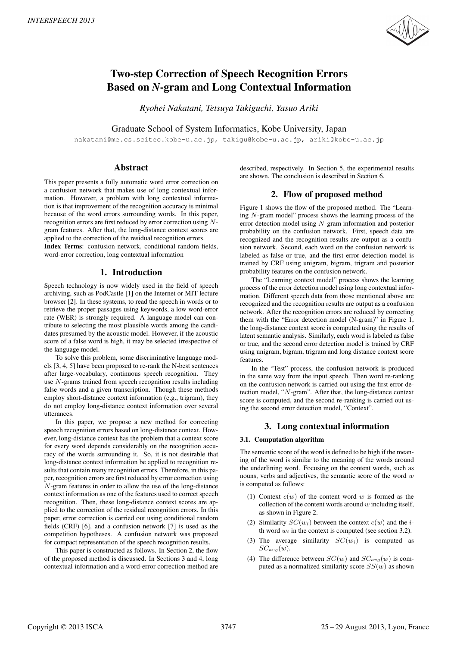

# Two-step Correction of Speech Recognition Errors Based on *N*-gram and Long Contextual Information

*Ryohei Nakatani, Tetsuya Takiguchi, Yasuo Ariki*

Graduate School of System Informatics, Kobe University, Japan

nakatani@me.cs.scitec.kobe-u.ac.jp, takigu@kobe-u.ac.jp, ariki@kobe-u.ac.jp

## Abstract

This paper presents a fully automatic word error correction on a confusion network that makes use of long contextual information. However, a problem with long contextual information is that improvement of the recognition accuracy is minimal because of the word errors surrounding words. In this paper, recognition errors are first reduced by error correction using Ngram features. After that, the long-distance context scores are applied to the correction of the residual recognition errors.

Index Terms: confusion network, conditional random fields, word-error correction, long contextual information

# 1. Introduction

Speech technology is now widely used in the field of speech archiving, such as PodCastle [1] on the Internet or MIT lecture browser [2]. In these systems, to read the speech in words or to retrieve the proper passages using keywords, a low word-error rate (WER) is strongly required. A language model can contribute to selecting the most plausible words among the candidates presumed by the acoustic model. However, if the acoustic score of a false word is high, it may be selected irrespective of the language model.

To solve this problem, some discriminative language models [3, 4, 5] have been proposed to re-rank the N-best sentences after large-vocabulary, continuous speech recognition. They use N-grams trained from speech recognition results including false words and a given transcription. Though these methods employ short-distance context information (e.g., trigram), they do not employ long-distance context information over several utterances.

In this paper, we propose a new method for correcting speech recognition errors based on long-distance context. However, long-distance context has the problem that a context score for every word depends considerably on the recognition accuracy of the words surrounding it. So, it is not desirable that long-distance context information be applied to recognition results that contain many recognition errors. Therefore, in this paper, recognition errors are first reduced by error correction using N-gram features in order to allow the use of the long-distance context information as one of the features used to correct speech recognition. Then, these long-distance context scores are applied to the correction of the residual recognition errors. In this paper, error correction is carried out using conditional random fields (CRF) [6], and a confusion network [7] is used as the competition hypotheses. A confusion network was proposed for compact representation of the speech recognition results.

This paper is constructed as follows. In Section 2, the flow of the proposed method is discussed. In Sections 3 and 4, long contextual information and a word-error correction method are described, respectively. In Section 5, the experimental results are shown. The conclusion is described in Section 6.

# 2. Flow of proposed method

Figure 1 shows the flow of the proposed method. The "Learning N-gram model" process shows the learning process of the error detection model using N-gram information and posterior probability on the confusion network. First, speech data are recognized and the recognition results are output as a confusion network. Second, each word on the confusion network is labeled as false or true, and the first error detection model is trained by CRF using unigram, bigram, trigram and posterior probability features on the confusion network.

The "Learning context model" process shows the learning process of the error detection model using long contextual information. Different speech data from those mentioned above are recognized and the recognition results are output as a confusion network. After the recognition errors are reduced by correcting them with the "Error detection model (N-gram)" in Figure 1, the long-distance context score is computed using the results of latent semantic analysis. Similarly, each word is labeled as false or true, and the second error detection model is trained by CRF using unigram, bigram, trigram and long distance context score features.

In the "Test" process, the confusion network is produced in the same way from the input speech. Then word re-ranking on the confusion network is carried out using the first error detection model, "N-gram". After that, the long-distance context score is computed, and the second re-ranking is carried out using the second error detection model, "Context".

# 3. Long contextual information

### 3.1. Computation algorithm

The semantic score of the word is defined to be high if the meaning of the word is similar to the meaning of the words around the underlining word. Focusing on the content words, such as nouns, verbs and adjectives, the semantic score of the word  $w$ is computed as follows:

- (1) Context  $c(w)$  of the content word w is formed as the collection of the content words around  $w$  including itself, as shown in Figure 2.
- (2) Similarity  $SC(w_i)$  between the context  $c(w)$  and the *i*th word  $w_i$  in the context is computed (see section 3.2).
- (3) The average similarity  $SC(w_i)$  is computed as  $SC_{avg}(w)$ .
- (4) The difference between  $SC(w)$  and  $SC_{avg}(w)$  is computed as a normalized similarity score  $SS(w)$  as shown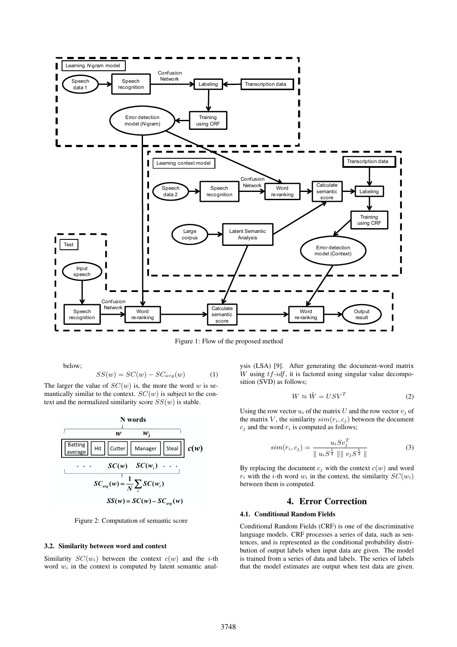

Figure 1: Flow of the proposed method

below;

$$
SS(w) = SC(w) - SC_{avg}(w)
$$
 (1)

The larger the value of  $SC(w)$  is, the more the word w is semantically similar to the context.  $SC(w)$  is subject to the context and the normalized similarity score  $SS(w)$  is stable.



Figure 2: Computation of semantic score

#### 3.2. Similarity between word and context

Similarity  $SC(w_i)$  between the context  $c(w)$  and the *i*-th word  $w_i$  in the context is computed by latent semantic analysis (LSA) [9]. After generating the document-word matrix  $W$  using  $tf$ -idf, it is factored using singular value decomposition (SVD) as follows;

$$
W \approx \hat{W} = USV^T \tag{2}
$$

Using the row vector  $u_i$  of the matrix U and the row vector  $v_j$  of the matrix V, the similarity  $sim(r_i, c_j)$  between the document  $c_i$  and the word  $r_i$  is computed as follows;

$$
sim(r_i, c_j) = \frac{u_i S v_j^T}{\| u_i S^{\frac{1}{2}} \| \| v_j S^{\frac{1}{2}} \|}
$$
 (3)

By replacing the document  $c_i$  with the context  $c(w)$  and word  $r_i$  with the *i*-th word  $w_i$  in the context, the similarity  $SC(w_i)$ between them is computed.

### 4. Error Correction

#### 4.1. Conditional Random Fields

Conditional Random Fields (CRF) is one of the discriminative language models. CRF processes a series of data, such as sentences, and is represented as the conditional probability distribution of output labels when input data are given. The model is trained from a series of data and labels. The series of labels that the model estimates are output when test data are given.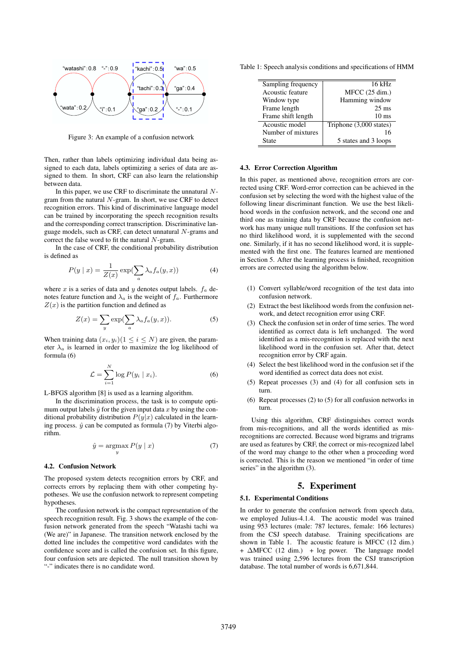

Figure 3: An example of a confusion network

Then, rather than labels optimizing individual data being assigned to each data, labels optimizing a series of data are assigned to them. In short, CRF can also learn the relationship between data.

In this paper, we use CRF to discriminate the unnatural  $N$ gram from the natural N-gram. In short, we use CRF to detect recognition errors. This kind of discriminative language model can be trained by incorporating the speech recognition results and the corresponding correct transcription. Discriminative language models, such as CRF, can detect unnatural N-grams and correct the false word to fit the natural  $N$ -gram.

In the case of CRF, the conditional probability distribution is defined as

$$
P(y \mid x) = \frac{1}{Z(x)} \exp(\sum_{a} \lambda_a f_a(y, x))
$$
 (4)

where x is a series of data and y denotes output labels.  $f_a$  denotes feature function and  $\lambda_a$  is the weight of  $f_a$ . Furthermore  $Z(x)$  is the partition function and defined as

$$
Z(x) = \sum_{y} \exp(\sum_{a} \lambda_a f_a(y, x)).
$$
 (5)

When training data  $(x_i, y_i)(1 \leq i \leq N)$  are given, the parameter  $\lambda_a$  is learned in order to maximize the log likelihood of formula (6)

$$
\mathcal{L} = \sum_{i=1}^{N} \log P(y_i \mid x_i). \tag{6}
$$

L-BFGS algorithm [8] is used as a learning algorithm.

In the discrimination process, the task is to compute optimum output labels  $\hat{y}$  for the given input data x by using the conditional probability distribution  $P(y|x)$  calculated in the learning process.  $\hat{y}$  can be computed as formula (7) by Viterbi algorithm.

$$
\hat{y} = \underset{y}{\operatorname{argmax}} P(y \mid x) \tag{7}
$$

#### 4.2. Confusion Network

The proposed system detects recognition errors by CRF, and corrects errors by replacing them with other competing hypotheses. We use the confusion network to represent competing hypotheses.

The confusion network is the compact representation of the speech recognition result. Fig. 3 shows the example of the confusion network generated from the speech "Watashi tachi wa (We are)" in Japanese. The transition network enclosed by the dotted line includes the competitive word candidates with the confidence score and is called the confusion set. In this figure, four confusion sets are depicted. The null transition shown by "-" indicates there is no candidate word.

Table 1: Speech analysis conditions and specifications of HMM

| Sampling frequency | $16$ kHz                |
|--------------------|-------------------------|
| Acoustic feature   | MFCC (25 dim.)          |
| Window type        | Hamming window          |
| Frame length       | $25 \text{ ms}$         |
| Frame shift length | $10 \text{ ms}$         |
| Acoustic model     | Triphone (3,000 states) |
| Number of mixtures | 16                      |
| State              | 5 states and 3 loops    |

#### 4.3. Error Correction Algorithm

In this paper, as mentioned above, recognition errors are corrected using CRF. Word-error correction can be achieved in the confusion set by selecting the word with the highest value of the following linear discriminant function. We use the best likelihood words in the confusion network, and the second one and third one as training data by CRF because the confusion network has many unique null transitions. If the confusion set has no third likelihood word, it is supplemented with the second one. Similarly, if it has no second likelihood word, it is supplemented with the first one. The features learned are mentioned in Section 5. After the learning process is finished, recognition errors are corrected using the algorithm below.

- (1) Convert syllable/word recognition of the test data into confusion network.
- (2) Extract the best likelihood words from the confusion network, and detect recognition error using CRF.
- (3) Check the confusion set in order of time series. The word identified as correct data is left unchanged. The word identified as a mis-recognition is replaced with the next likelihood word in the confusion set. After that, detect recognition error by CRF again.
- (4) Select the best likelihood word in the confusion set if the word identified as correct data does not exist.
- (5) Repeat processes (3) and (4) for all confusion sets in turn.
- (6) Repeat processes (2) to (5) for all confusion networks in turn.

Using this algorithm, CRF distinguishes correct words from mis-recognitions, and all the words identified as misrecognitions are corrected. Because word bigrams and trigrams are used as features by CRF, the correct or mis-recognized label of the word may change to the other when a proceeding word is corrected. This is the reason we mentioned "in order of time series" in the algorithm  $(3)$ .

# 5. Experiment

#### 5.1. Experimental Conditions

In order to generate the confusion network from speech data, we employed Julius-4.1.4. The acoustic model was trained using 953 lectures (male: 787 lectures, female: 166 lectures) from the CSJ speech database. Training specifications are shown in Table 1. The acoustic feature is MFCC (12 dim.) +  $\triangle$ MFCC (12 dim.) + log power. The language model was trained using 2,596 lectures from the CSJ transcription database. The total number of words is 6,671,844.